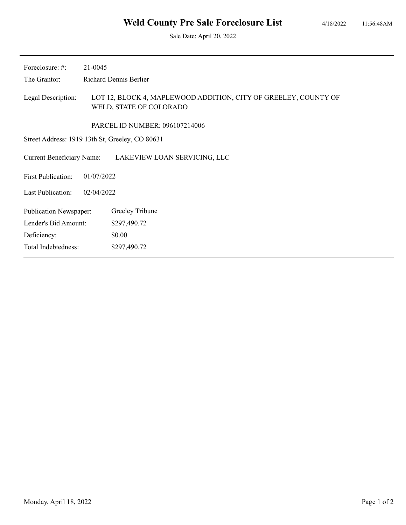Sale Date: April 20, 2022

| 21-0045                                         |                                                                                            |  |  |
|-------------------------------------------------|--------------------------------------------------------------------------------------------|--|--|
| <b>Richard Dennis Berlier</b>                   |                                                                                            |  |  |
|                                                 | LOT 12, BLOCK 4, MAPLEWOOD ADDITION, CITY OF GREELEY, COUNTY OF<br>WELD, STATE OF COLORADO |  |  |
|                                                 | PARCEL ID NUMBER: 096107214006                                                             |  |  |
| Street Address: 1919 13th St, Greeley, CO 80631 |                                                                                            |  |  |
|                                                 | LAKEVIEW LOAN SERVICING, LLC                                                               |  |  |
| 01/07/2022<br><b>First Publication:</b>         |                                                                                            |  |  |
| 02/04/2022                                      |                                                                                            |  |  |
|                                                 | Greeley Tribune                                                                            |  |  |
|                                                 | \$297,490.72                                                                               |  |  |
|                                                 | \$0.00                                                                                     |  |  |
|                                                 | \$297,490.72                                                                               |  |  |
| Total Indebtedness:                             | <b>Current Beneficiary Name:</b><br><b>Publication Newspaper:</b><br>Lender's Bid Amount:  |  |  |